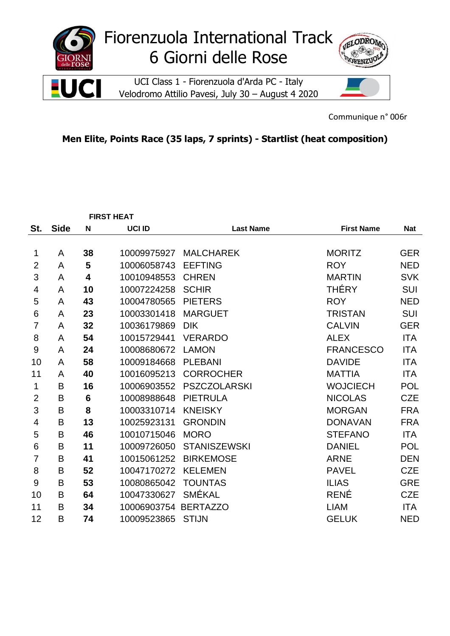

Communique n° 006r

## **Men Elite, Points Race (35 laps, 7 sprints) - Startlist (heat composition)**

|                |             |                 | <b>FIRST HEAT</b> |                     |                   |            |
|----------------|-------------|-----------------|-------------------|---------------------|-------------------|------------|
| St.            | <b>Side</b> | N               | UCI ID            | <b>Last Name</b>    | <b>First Name</b> | <b>Nat</b> |
|                |             |                 |                   |                     |                   |            |
| 1              | A           | 38              | 10009975927       | <b>MALCHAREK</b>    | <b>MORITZ</b>     | <b>GER</b> |
| $\overline{2}$ | A           | 5               | 10006058743       | <b>EEFTING</b>      | <b>ROY</b>        | <b>NED</b> |
| 3              | A           | 4               | 10010948553       | <b>CHREN</b>        | <b>MARTIN</b>     | <b>SVK</b> |
| 4              | A           | 10              | 10007224258       | <b>SCHIR</b>        | <b>THÉRY</b>      | <b>SUI</b> |
| 5              | A           | 43              | 10004780565       | <b>PIETERS</b>      | <b>ROY</b>        | <b>NED</b> |
| 6              | A           | 23              | 10003301418       | <b>MARGUET</b>      | <b>TRISTAN</b>    | <b>SUI</b> |
| $\overline{7}$ | A           | 32              | 10036179869       | <b>DIK</b>          | <b>CALVIN</b>     | <b>GER</b> |
| 8              | A           | 54              | 10015729441       | <b>VERARDO</b>      | <b>ALEX</b>       | <b>ITA</b> |
| 9              | A           | 24              | 10008680672       | <b>LAMON</b>        | <b>FRANCESCO</b>  | <b>ITA</b> |
| 10             | A           | 58              | 10009184668       | <b>PLEBANI</b>      | <b>DAVIDE</b>     | <b>ITA</b> |
| 11             | A           | 40              | 10016095213       | <b>CORROCHER</b>    | <b>MATTIA</b>     | <b>ITA</b> |
| 1              | B           | 16              | 10006903552       | <b>PSZCZOLARSKI</b> | <b>WOJCIECH</b>   | <b>POL</b> |
| $\overline{2}$ | B           | $6\phantom{1}6$ | 10008988648       | <b>PIETRULA</b>     | <b>NICOLAS</b>    | <b>CZE</b> |
| 3              | B           | 8               | 10003310714       | <b>KNEISKY</b>      | <b>MORGAN</b>     | <b>FRA</b> |
| 4              | B           | 13              | 10025923131       | <b>GRONDIN</b>      | <b>DONAVAN</b>    | <b>FRA</b> |
| 5              | B           | 46              | 10010715046       | <b>MORO</b>         | <b>STEFANO</b>    | <b>ITA</b> |
| 6              | B           | 11              | 10009726050       | <b>STANISZEWSKI</b> | <b>DANIEL</b>     | <b>POL</b> |
| $\overline{7}$ | B           | 41              | 10015061252       | <b>BIRKEMOSE</b>    | <b>ARNE</b>       | <b>DEN</b> |
| 8              | B           | 52              | 10047170272       | <b>KELEMEN</b>      | <b>PAVEL</b>      | <b>CZE</b> |
| 9              | B           | 53              | 10080865042       | <b>TOUNTAS</b>      | <b>ILIAS</b>      | <b>GRE</b> |
| 10             | B           | 64              | 10047330627       | <b>SMÉKAL</b>       | <b>RENÉ</b>       | <b>CZE</b> |
| 11             | B           | 34              | 10006903754       | <b>BERTAZZO</b>     | <b>LIAM</b>       | <b>ITA</b> |
| 12             | B           | 74              | 10009523865       | <b>STIJN</b>        | <b>GELUK</b>      | <b>NED</b> |